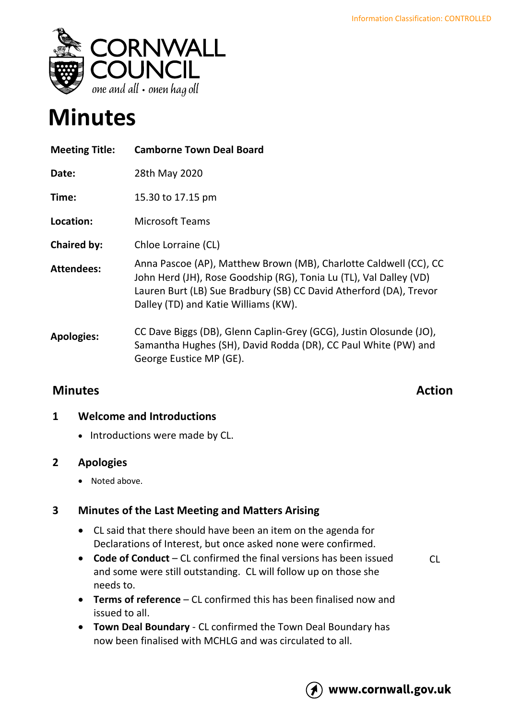

# **Minutes**

| <b>Meeting Title:</b> | <b>Camborne Town Deal Board</b>                                                                                                                                                                                                                       |
|-----------------------|-------------------------------------------------------------------------------------------------------------------------------------------------------------------------------------------------------------------------------------------------------|
| Date:                 | 28th May 2020                                                                                                                                                                                                                                         |
| Time:                 | 15.30 to 17.15 pm                                                                                                                                                                                                                                     |
| Location:             | <b>Microsoft Teams</b>                                                                                                                                                                                                                                |
| <b>Chaired by:</b>    | Chloe Lorraine (CL)                                                                                                                                                                                                                                   |
| <b>Attendees:</b>     | Anna Pascoe (AP), Matthew Brown (MB), Charlotte Caldwell (CC), CC<br>John Herd (JH), Rose Goodship (RG), Tonia Lu (TL), Val Dalley (VD)<br>Lauren Burt (LB) Sue Bradbury (SB) CC David Atherford (DA), Trevor<br>Dalley (TD) and Katie Williams (KW). |
| <b>Apologies:</b>     | CC Dave Biggs (DB), Glenn Caplin-Grey (GCG), Justin Olosunde (JO),<br>Samantha Hughes (SH), David Rodda (DR), CC Paul White (PW) and<br>George Eustice MP (GE).                                                                                       |

## **Minutes Action**

### **1 Welcome and Introductions**

• Introductions were made by CL.

### **2 Apologies**

• Noted above.

### **3 Minutes of the Last Meeting and Matters Arising**

- CL said that there should have been an item on the agenda for Declarations of Interest, but once asked none were confirmed.
- **Code of Conduct** CL confirmed the final versions has been issued and some were still outstanding. CL will follow up on those she needs to.
- $Cl$
- **Terms of reference** CL confirmed this has been finalised now and issued to all.
- **Town Deal Boundary** CL confirmed the Town Deal Boundary has now been finalised with MCHLG and was circulated to all.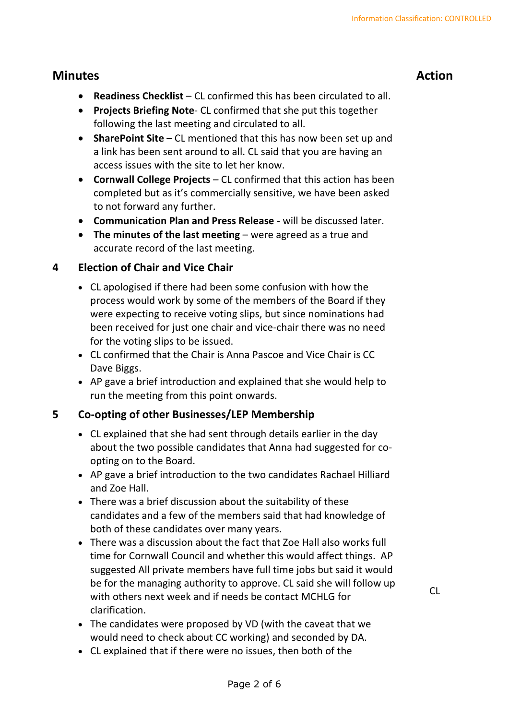- **Readiness Checklist**  CL confirmed this has been circulated to all.
- **Projects Briefing Note** CL confirmed that she put this together following the last meeting and circulated to all.
- **SharePoint Site** CL mentioned that this has now been set up and a link has been sent around to all. CL said that you are having an access issues with the site to let her know.
- **Cornwall College Projects** CL confirmed that this action has been completed but as it's commercially sensitive, we have been asked to not forward any further.
- **Communication Plan and Press Release** will be discussed later.
- **The minutes of the last meeting** were agreed as a true and accurate record of the last meeting.

### **4 Election of Chair and Vice Chair**

- CL apologised if there had been some confusion with how the process would work by some of the members of the Board if they were expecting to receive voting slips, but since nominations had been received for just one chair and vice-chair there was no need for the voting slips to be issued.
- CL confirmed that the Chair is Anna Pascoe and Vice Chair is CC Dave Biggs.
- AP gave a brief introduction and explained that she would help to run the meeting from this point onwards.

### **5 Co-opting of other Businesses/LEP Membership**

- CL explained that she had sent through details earlier in the day about the two possible candidates that Anna had suggested for coopting on to the Board.
- AP gave a brief introduction to the two candidates Rachael Hilliard and Zoe Hall.
- There was a brief discussion about the suitability of these candidates and a few of the members said that had knowledge of both of these candidates over many years.
- There was a discussion about the fact that Zoe Hall also works full time for Cornwall Council and whether this would affect things. AP suggested All private members have full time jobs but said it would be for the managing authority to approve. CL said she will follow up with others next week and if needs be contact MCHLG for clarification.
- The candidates were proposed by VD (with the caveat that we would need to check about CC working) and seconded by DA.
- CL explained that if there were no issues, then both of the

CL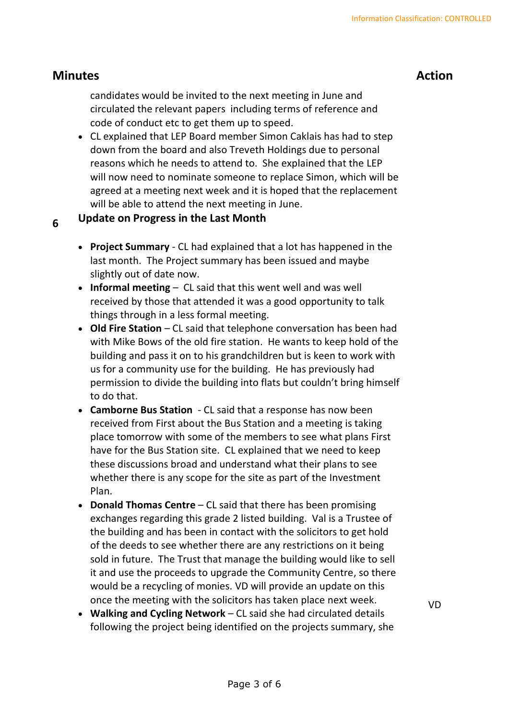candidates would be invited to the next meeting in June and circulated the relevant papers including terms of reference and code of conduct etc to get them up to speed.

• CL explained that LEP Board member Simon Caklais has had to step down from the board and also Treveth Holdings due to personal reasons which he needs to attend to. She explained that the LEP will now need to nominate someone to replace Simon, which will be agreed at a meeting next week and it is hoped that the replacement will be able to attend the next meeting in June.

#### **6 Update on Progress in the Last Month**

- **Project Summary** CL had explained that a lot has happened in the last month. The Project summary has been issued and maybe slightly out of date now.
- **Informal meeting**  CL said that this went well and was well received by those that attended it was a good opportunity to talk things through in a less formal meeting.
- **Old Fire Station** CL said that telephone conversation has been had with Mike Bows of the old fire station. He wants to keep hold of the building and pass it on to his grandchildren but is keen to work with us for a community use for the building. He has previously had permission to divide the building into flats but couldn't bring himself to do that.
- **Camborne Bus Station** CL said that a response has now been received from First about the Bus Station and a meeting is taking place tomorrow with some of the members to see what plans First have for the Bus Station site. CL explained that we need to keep these discussions broad and understand what their plans to see whether there is any scope for the site as part of the Investment Plan.
- **Donald Thomas Centre** CL said that there has been promising exchanges regarding this grade 2 listed building. Val is a Trustee of the building and has been in contact with the solicitors to get hold of the deeds to see whether there are any restrictions on it being sold in future. The Trust that manage the building would like to sell it and use the proceeds to upgrade the Community Centre, so there would be a recycling of monies. VD will provide an update on this once the meeting with the solicitors has taken place next week.
- **Walking and Cycling Network** CL said she had circulated details following the project being identified on the projects summary, she

VD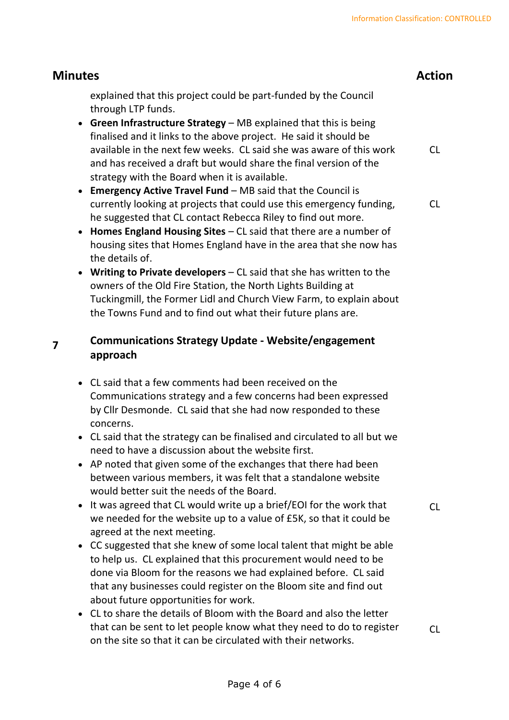### **Minutes Action** explained that this project could be part-funded by the Council through LTP funds. • **Green Infrastructure Strategy** – MB explained that this is being finalised and it links to the above project. He said it should be available in the next few weeks. CL said she was aware of this work and has received a draft but would share the final version of the strategy with the Board when it is available. • **Emergency Active Travel Fund** – MB said that the Council is currently looking at projects that could use this emergency funding, he suggested that CL contact Rebecca Riley to find out more. CL  $Cl$

- **Homes England Housing Sites** CL said that there are a number of housing sites that Homes England have in the area that she now has the details of.
- **Writing to Private developers**  CL said that she has written to the owners of the Old Fire Station, the North Lights Building at Tuckingmill, the Former Lidl and Church View Farm, to explain about the Towns Fund and to find out what their future plans are.

#### **7 Communications Strategy Update - Website/engagement approach**

- CL said that a few comments had been received on the Communications strategy and a few concerns had been expressed by Cllr Desmonde. CL said that she had now responded to these concerns.
- CL said that the strategy can be finalised and circulated to all but we need to have a discussion about the website first.
- AP noted that given some of the exchanges that there had been between various members, it was felt that a standalone website would better suit the needs of the Board.
- It was agreed that CL would write up a brief/EOI for the work that we needed for the website up to a value of £5K, so that it could be agreed at the next meeting.
- CC suggested that she knew of some local talent that might be able to help us. CL explained that this procurement would need to be done via Bloom for the reasons we had explained before. CL said that any businesses could register on the Bloom site and find out about future opportunities for work.
- CL to share the details of Bloom with the Board and also the letter that can be sent to let people know what they need to do to register on the site so that it can be circulated with their networks.

 $Cl$ 

 $Cl$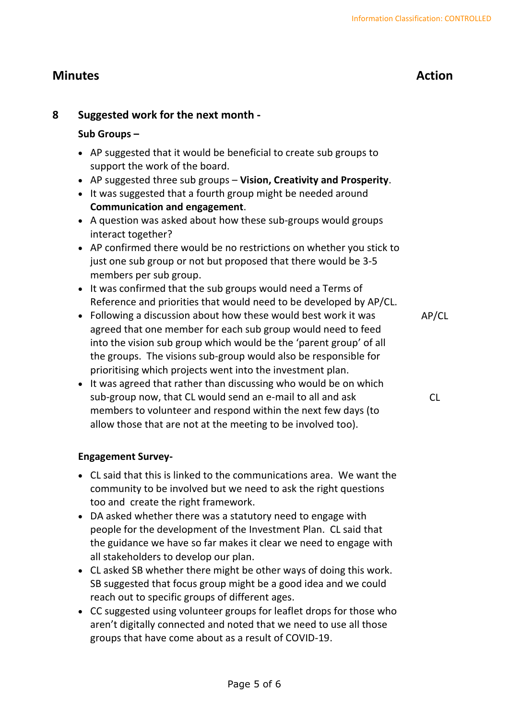### **8 Suggested work for the next month -**

### **Sub Groups –**

- AP suggested that it would be beneficial to create sub groups to support the work of the board.
- AP suggested three sub groups **Vision, Creativity and Prosperity**.
- It was suggested that a fourth group might be needed around **Communication and engagement**.
- A question was asked about how these sub-groups would groups interact together?
- AP confirmed there would be no restrictions on whether you stick to just one sub group or not but proposed that there would be 3-5 members per sub group.
- It was confirmed that the sub groups would need a Terms of Reference and priorities that would need to be developed by AP/CL.
- Following a discussion about how these would best work it was agreed that one member for each sub group would need to feed into the vision sub group which would be the 'parent group' of all the groups. The visions sub-group would also be responsible for prioritising which projects went into the investment plan.
- It was agreed that rather than discussing who would be on which sub-group now, that CL would send an e-mail to all and ask members to volunteer and respond within the next few days (to allow those that are not at the meeting to be involved too).

CL

AP/CL

### **Engagement Survey-**

- CL said that this is linked to the communications area. We want the community to be involved but we need to ask the right questions too and create the right framework.
- DA asked whether there was a statutory need to engage with people for the development of the Investment Plan. CL said that the guidance we have so far makes it clear we need to engage with all stakeholders to develop our plan.
- CL asked SB whether there might be other ways of doing this work. SB suggested that focus group might be a good idea and we could reach out to specific groups of different ages.
- CC suggested using volunteer groups for leaflet drops for those who aren't digitally connected and noted that we need to use all those groups that have come about as a result of COVID-19.